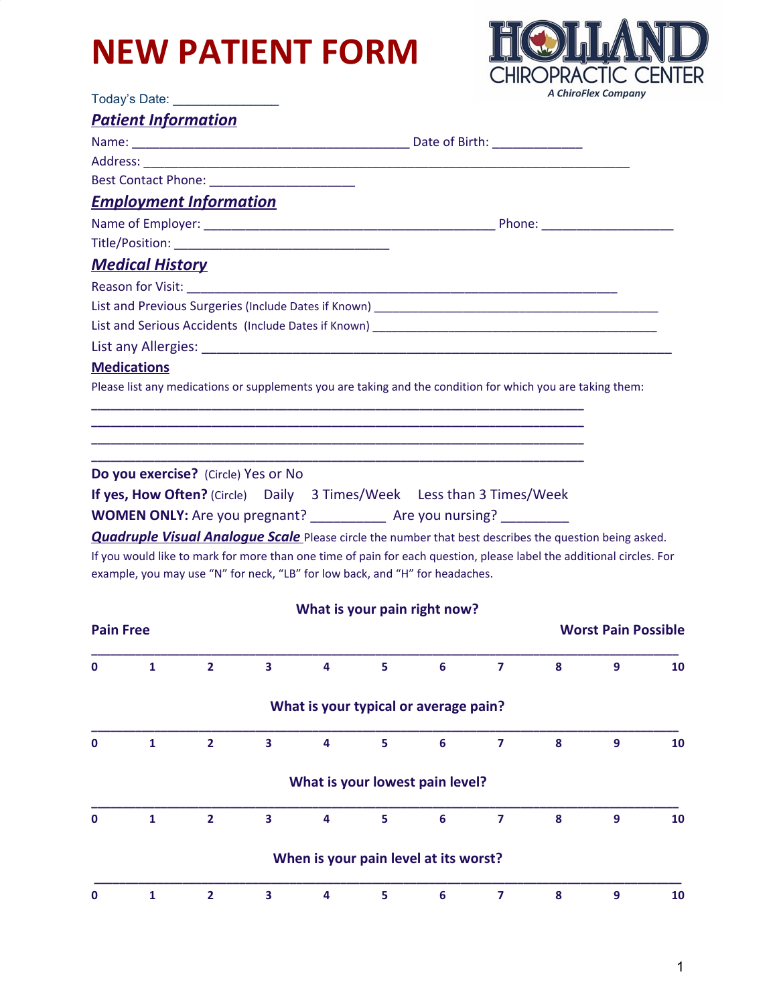## **NEW PATIENT FORM**

Today's Date: \_\_\_\_\_\_\_\_\_\_\_\_\_\_\_



|                  |                        | <u> Patient Information</u>         |                         |                                                                                                                                                                                                      |   |                |                         |                  |                            |    |
|------------------|------------------------|-------------------------------------|-------------------------|------------------------------------------------------------------------------------------------------------------------------------------------------------------------------------------------------|---|----------------|-------------------------|------------------|----------------------------|----|
|                  |                        |                                     |                         |                                                                                                                                                                                                      |   |                |                         |                  |                            |    |
|                  |                        |                                     |                         |                                                                                                                                                                                                      |   |                |                         |                  |                            |    |
|                  |                        |                                     |                         |                                                                                                                                                                                                      |   |                |                         |                  |                            |    |
|                  |                        | <b>Employment Information</b>       |                         |                                                                                                                                                                                                      |   |                |                         |                  |                            |    |
|                  |                        |                                     |                         |                                                                                                                                                                                                      |   |                |                         |                  |                            |    |
|                  |                        |                                     |                         |                                                                                                                                                                                                      |   |                |                         |                  |                            |    |
|                  | <b>Medical History</b> |                                     |                         |                                                                                                                                                                                                      |   |                |                         |                  |                            |    |
|                  |                        |                                     |                         |                                                                                                                                                                                                      |   |                |                         |                  |                            |    |
|                  |                        |                                     |                         |                                                                                                                                                                                                      |   |                |                         |                  |                            |    |
|                  |                        |                                     |                         |                                                                                                                                                                                                      |   |                |                         |                  |                            |    |
|                  |                        |                                     |                         |                                                                                                                                                                                                      |   |                |                         |                  |                            |    |
|                  | <b>Medications</b>     |                                     |                         | Please list any medications or supplements you are taking and the condition for which you are taking them:                                                                                           |   |                |                         |                  |                            |    |
|                  |                        |                                     |                         | <u> 1989 - Johann Harry Harry Harry Harry Harry Harry Harry Harry Harry Harry Harry Harry Harry Harry Harry Harry</u>                                                                                |   |                |                         |                  |                            |    |
|                  |                        |                                     |                         |                                                                                                                                                                                                      |   |                |                         |                  |                            |    |
|                  |                        | Do you exercise? (Circle) Yes or No |                         |                                                                                                                                                                                                      |   |                |                         |                  |                            |    |
|                  |                        |                                     |                         | <b>If yes, How Often?</b> (Circle)  Daily 3 Times/Week  Less than 3 Times/Week                                                                                                                       |   |                |                         |                  |                            |    |
|                  |                        |                                     |                         | WOMEN ONLY: Are you pregnant? ______________ Are you nursing? __________                                                                                                                             |   |                |                         |                  |                            |    |
|                  |                        |                                     |                         | <b>Quadruple Visual Analoque Scale</b> Please circle the number that best describes the question being asked.                                                                                        |   |                |                         |                  |                            |    |
|                  |                        |                                     |                         | If you would like to mark for more than one time of pain for each question, please label the additional circles. For<br>example, you may use "N" for neck, "LB" for low back, and "H" for headaches. |   |                |                         |                  |                            |    |
|                  |                        |                                     |                         | What is your pain right now?                                                                                                                                                                         |   |                |                         |                  |                            |    |
| <b>Pain Free</b> |                        |                                     |                         |                                                                                                                                                                                                      |   |                |                         |                  | <b>Worst Pain Possible</b> |    |
| 0                | 1                      | $\overline{2}$                      | $\mathbf{3}$            | 4                                                                                                                                                                                                    | 5 | 6              | $\overline{7}$          | 8                | 9                          | 10 |
|                  |                        |                                     |                         | What is your typical or average pain?                                                                                                                                                                |   |                |                         |                  |                            |    |
|                  |                        |                                     |                         |                                                                                                                                                                                                      |   |                |                         |                  |                            |    |
| O                | $\mathbf{1}$           | $\overline{2}$                      | $\overline{\mathbf{3}}$ | $\overline{\mathbf{4}}$                                                                                                                                                                              | 5 | $6\phantom{a}$ | $\overline{\mathbf{z}}$ | $\boldsymbol{8}$ | 9                          | 10 |
|                  |                        |                                     |                         | What is your lowest pain level?                                                                                                                                                                      |   |                |                         |                  |                            |    |
| O                | $\mathbf{1}$           | $\overline{2}$                      | 3                       | $\overline{\mathbf{4}}$                                                                                                                                                                              | 5 | $6\phantom{a}$ | $\overline{7}$          | $\boldsymbol{8}$ | 9                          | 10 |
|                  |                        |                                     |                         | When is your pain level at its worst?                                                                                                                                                                |   |                |                         |                  |                            |    |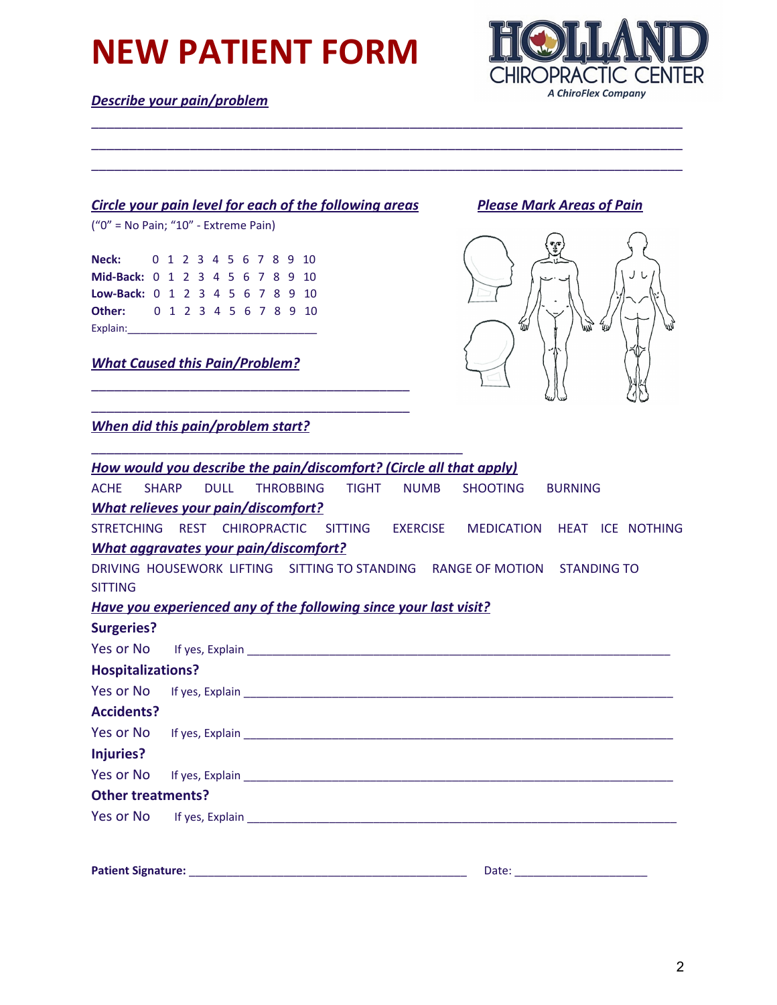## **NEW PATIENT FORM**

*Describe your pain/problem*



#### *Circle your pain level for each of the following areas Please Mark Areas of Pain*

\_\_\_\_\_\_\_\_\_\_\_\_\_\_\_\_\_\_\_\_\_\_\_\_\_\_\_\_\_\_\_\_\_\_\_\_\_\_\_\_\_\_ \_\_\_\_\_\_\_\_\_\_\_\_\_\_\_\_\_\_\_\_\_\_\_\_\_\_\_\_\_\_\_\_\_\_\_\_\_\_\_\_\_\_

\_\_\_\_\_\_\_\_\_\_\_\_\_\_\_\_\_\_\_\_\_\_\_\_\_\_\_\_\_\_\_\_\_\_\_\_\_\_\_\_\_\_\_\_\_\_\_\_\_

("0" = No Pain; "10" - Extreme Pain)

**Neck:** 0 1 2 3 4 5 6 7 8 9 10 **Mid-Back:** 0 1 2 3 4 5 6 7 8 9 10 **Low-Back:** 0 1 2 3 4 5 6 7 8 9 10 **Other:** 0 1 2 3 4 5 6 7 8 9 10 Explain:

*What Caused this Pain/Problem?*



*When did this pain/problem start?*

| How would you describe the pain/discomfort? (Circle all that apply) |             |  |                                                                                                                                                                                                                                |                |  |
|---------------------------------------------------------------------|-------------|--|--------------------------------------------------------------------------------------------------------------------------------------------------------------------------------------------------------------------------------|----------------|--|
| <b>ACHE</b><br><b>SHARP</b>                                         | <b>DULL</b> |  | THROBBING TIGHT NUMB SHOOTING                                                                                                                                                                                                  | <b>BURNING</b> |  |
| <b>What relieves your pain/discomfort?</b>                          |             |  |                                                                                                                                                                                                                                |                |  |
|                                                                     |             |  | STRETCHING REST CHIROPRACTIC SITTING EXERCISE MEDICATION HEAT ICE NOTHING                                                                                                                                                      |                |  |
| <b>What aggravates your pain/discomfort?</b>                        |             |  |                                                                                                                                                                                                                                |                |  |
|                                                                     |             |  | DRIVING HOUSEWORK LIFTING SITTING TO STANDING RANGE OF MOTION STANDING TO                                                                                                                                                      |                |  |
| <b>SITTING</b>                                                      |             |  |                                                                                                                                                                                                                                |                |  |
| Have you experienced any of the following since your last visit?    |             |  |                                                                                                                                                                                                                                |                |  |
| <b>Surgeries?</b>                                                   |             |  |                                                                                                                                                                                                                                |                |  |
|                                                                     |             |  |                                                                                                                                                                                                                                |                |  |
| <b>Hospitalizations?</b>                                            |             |  |                                                                                                                                                                                                                                |                |  |
|                                                                     |             |  |                                                                                                                                                                                                                                |                |  |
| <b>Accidents?</b>                                                   |             |  |                                                                                                                                                                                                                                |                |  |
|                                                                     |             |  |                                                                                                                                                                                                                                |                |  |
| Injuries?                                                           |             |  |                                                                                                                                                                                                                                |                |  |
|                                                                     |             |  | Yes or No If yes, Explain entertainment and the state of the state of the state of the state of the state of the state of the state of the state of the state of the state of the state of the state of the state of the state |                |  |
| <b>Other treatments?</b>                                            |             |  |                                                                                                                                                                                                                                |                |  |
|                                                                     |             |  | Yes or No If yes, Explain entries and the contract of the state of the state of the state of the state of the state of the state of the state of the state of the state of the state of the state of the state of the state of |                |  |
|                                                                     |             |  |                                                                                                                                                                                                                                |                |  |
|                                                                     |             |  |                                                                                                                                                                                                                                |                |  |
|                                                                     |             |  |                                                                                                                                                                                                                                |                |  |

\_\_\_\_\_\_\_\_\_\_\_\_\_\_\_\_\_\_\_\_\_\_\_\_\_\_\_\_\_\_\_\_\_\_\_\_\_\_\_\_\_\_\_\_\_\_\_\_\_\_\_\_\_\_\_\_\_\_\_\_\_\_\_\_\_\_\_\_\_\_\_\_\_\_\_\_\_\_ \_\_\_\_\_\_\_\_\_\_\_\_\_\_\_\_\_\_\_\_\_\_\_\_\_\_\_\_\_\_\_\_\_\_\_\_\_\_\_\_\_\_\_\_\_\_\_\_\_\_\_\_\_\_\_\_\_\_\_\_\_\_\_\_\_\_\_\_\_\_\_\_\_\_\_\_\_\_ \_\_\_\_\_\_\_\_\_\_\_\_\_\_\_\_\_\_\_\_\_\_\_\_\_\_\_\_\_\_\_\_\_\_\_\_\_\_\_\_\_\_\_\_\_\_\_\_\_\_\_\_\_\_\_\_\_\_\_\_\_\_\_\_\_\_\_\_\_\_\_\_\_\_\_\_\_\_